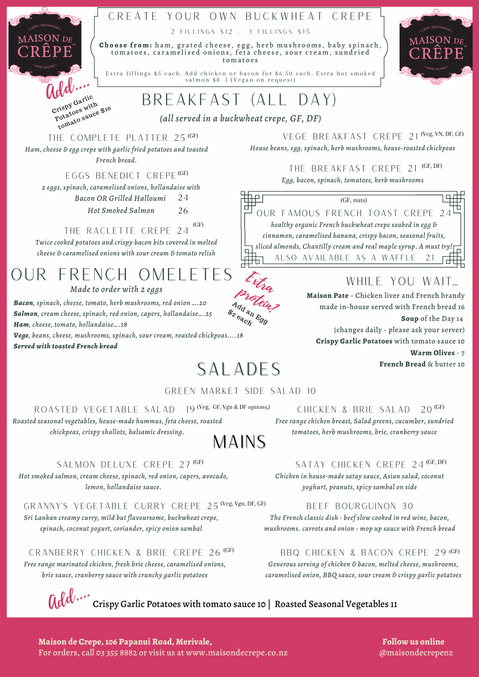## CREATE YOUR OWN BUCKWHEAT CREPE

2 FILLINGS \$12 ; 3 FILLINGS \$15

**Ch o o s e f r o m :** h a m ,g r a t e d c h e e s e , e g g , h e r b m u s h r o o m s , b a b y s p i n a c h , to matoes, caramelised onions, feta cheese, sour cream, sundried t o m a t o e s

Extra fillings \$5 each. Add chicken or bacon for \$6.50 each. Extra hot smoked salmon \$8 | (Vegan on request)

## Breakfast (ALL DAY)

*(all served in a buckwheat crepe, GF, DF)*

### THE COMPLETE PLATTER 25 (GF)

add....

MAISON DE

Crispy Garlic rispy Gas with<br>Potatoes with<br>tomato sauce \$10

*Ham, cheese & egg crepe with garlic fried potatoes and toasted French bread.*

EGGS BENEDICT CREPE (GF)

*2 eggs, spinach, caramelised onions, hollandaise with*

*Bacon OR Grilled Halloumi* 24

> *Hot Smoked Salmon* 26

### THE RACLETTE CREPE 24 (GF)

*Twice cooked potatoes and crispy bacon bits covered in melted cheese & caramelised onions with sour cream & tomato relish*

# our french omeletes

*Made to order with 2 eggs*

*Bacon, spinach, cheese, tomato, herb mushrooms, red onion ….20 Salmon, cream cheese, spinach, red onion, capers, hollandaise….25 Ham, cheese, tomato, hollandaise….18*

*Vege, beans, cheese, mushrooms, spinach, sour cream, roasted chickpeas....18 Served with toasted French bread*

## salades

### Green market side salad 10

ROASTED VEGETABLE SALAD 19 (Veg. GF, Vgn & DF options,)

*Roasted seasonal vegetables, house-made hummus, feta cheese, roasted chickpeas, crispy shallots, balsamic dressing.*

## **MAINS**

### SALMON DELUXE CREPE 27 (GF)

*Hot smoked salmon, cream cheese, spinach, red onion, capers, avocado, lemon, hollandaise sauce.*

GRANNY'S VEGETABLE CURRY CREPE 25 (Veg, Vgn, DF, GF)

*Sri Lankan creamy curry, mild but flavoursome, buckwheat crepe, spinach, coconut yogurt, coriander, spicy onion sambal*

cranberry chicken & brie crepe 26 *Free range marinated chicken, fresh brie cheese, caramelised onions, brie sauce, cranberry sauce with crunchy garlic potatoes*

 $\operatorname{\text{Gal}}^{\!\dagger\!\cdots}$  Crispy Garlic Potatoes with tomato sauce 10 | Roasted Seasonal Vegetables 11

(Veg, GF, Vgn & DF options,) CHICKEN & BRIE SALAD 20<sup>(GF)</sup>

*Free range chicken breast, Salad greens, cucumber, sundried tomatoes, herb mushrooms, brie, cranberry sauce*

### (GF) SATAY CHICKEN CREPE 24<sup>(GF, DF)</sup>

*Chicken in house-made satay sauce, Asian salad, coconut yoghurt, peanuts, spicy sambal on side*

### beef bourguinon 30

*The French classic dish - beef slow cooked in red wine, bacon, mushrooms. carrots and onion - mop up sauce with French bread*

### (GF) bbq chicken & bacon crepe 29 (GF)

*Generous serving of chicken & bacon, melted cheese, mushrooms, caramelised onion, BBQ sauce, sour cream & crispy garlic potatoes*

**Maison de Crepe,106 Papanui Road, Merivale,** For orders, call 03 355 8882 or visit us at www.maisondecrepe.co.nz

**Follow us online** @maisondecrepenz

VEGE BREAKFAST CREPE 21 (Veg, VN, DF, GF) *House beans, egg, spinach, herb mushrooms, house-roasted chickpeas*

> THE BREAKFAST CREPE 21 <sup>(GF, DF)</sup> *Egg, bacon, spinach, tomatoes, herb mushrooms*

OUR FAMOUS FRENCH TOAST CREPE 24 *healthy organic French buckwheat crepe soaked in egg & cinnamon, caramelised banana, crispy bacon, seasonal fruits, sliced almonds, Chantilly cream and real maple syrup. A must try!* (GF, nuts) also available as a waffle 21

## WHILE YOU WAIT....

**Maison Pate** - Chicken liver and French brandy made in-house served with French bread 16 **Soup** of the Day 14 (changes daily - please ask your server) **Crispy Garlic Potatoes** with tomato sauce 10 **Warm Olives** - 7

**French Bread** & butter 10